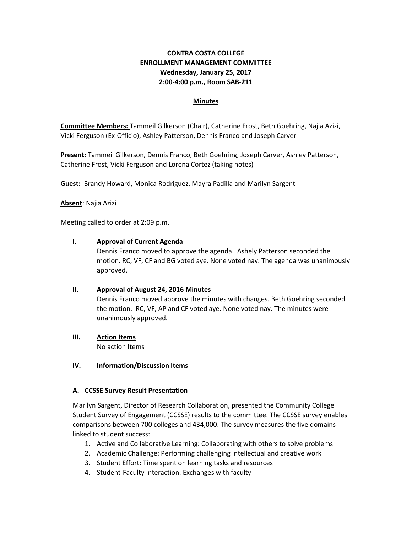# **CONTRA COSTA COLLEGE ENROLLMENT MANAGEMENT COMMITTEE Wednesday, January 25, 2017 2:00-4:00 p.m., Room SAB-211**

### **Minutes**

**Committee Members:** Tammeil Gilkerson (Chair), Catherine Frost, Beth Goehring, Najia Azizi, Vicki Ferguson (Ex-Officio), Ashley Patterson, Dennis Franco and Joseph Carver

**Present:** Tammeil Gilkerson, Dennis Franco, Beth Goehring, Joseph Carver, Ashley Patterson, Catherine Frost, Vicki Ferguson and Lorena Cortez (taking notes)

**Guest:** Brandy Howard, Monica Rodriguez, Mayra Padilla and Marilyn Sargent

**Absent**: Najia Azizi

Meeting called to order at 2:09 p.m.

#### **I. Approval of Current Agenda**

Dennis Franco moved to approve the agenda. Ashely Patterson seconded the motion. RC, VF, CF and BG voted aye. None voted nay. The agenda was unanimously approved.

### **II. Approval of August 24, 2016 Minutes**

Dennis Franco moved approve the minutes with changes. Beth Goehring seconded the motion. RC, VF, AP and CF voted aye. None voted nay. The minutes were unanimously approved.

**III. Action Items**

No action Items

### **IV. Information/Discussion Items**

### **A. CCSSE Survey Result Presentation**

Marilyn Sargent, Director of Research Collaboration, presented the Community College Student Survey of Engagement (CCSSE) results to the committee. The CCSSE survey enables comparisons between 700 colleges and 434,000. The survey measures the five domains linked to student success:

- 1. Active and Collaborative Learning: Collaborating with others to solve problems
- 2. Academic Challenge: Performing challenging intellectual and creative work
- 3. Student Effort: Time spent on learning tasks and resources
- 4. Student-Faculty Interaction: Exchanges with faculty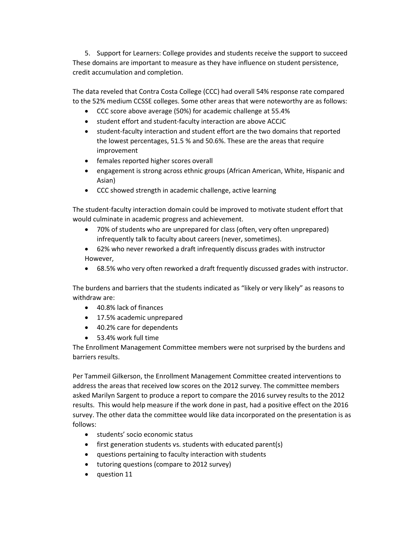5. Support for Learners: College provides and students receive the support to succeed These domains are important to measure as they have influence on student persistence, credit accumulation and completion.

The data reveled that Contra Costa College (CCC) had overall 54% response rate compared to the 52% medium CCSSE colleges. Some other areas that were noteworthy are as follows:

- CCC score above average (50%) for academic challenge at 55.4%
- student effort and student-faculty interaction are above ACCJC
- student-faculty interaction and student effort are the two domains that reported the lowest percentages, 51.5 % and 50.6%. These are the areas that require improvement
- females reported higher scores overall
- engagement is strong across ethnic groups (African American, White, Hispanic and Asian)
- CCC showed strength in academic challenge, active learning

The student-faculty interaction domain could be improved to motivate student effort that would culminate in academic progress and achievement.

- 70% of students who are unprepared for class (often, very often unprepared) infrequently talk to faculty about careers (never, sometimes).
- 62% who never reworked a draft infrequently discuss grades with instructor However,
- 68.5% who very often reworked a draft frequently discussed grades with instructor.

The burdens and barriers that the students indicated as "likely or very likely" as reasons to withdraw are:

- 40.8% lack of finances
- 17.5% academic unprepared
- 40.2% care for dependents
- 53.4% work full time

The Enrollment Management Committee members were not surprised by the burdens and barriers results.

Per Tammeil Gilkerson, the Enrollment Management Committee created interventions to address the areas that received low scores on the 2012 survey. The committee members asked Marilyn Sargent to produce a report to compare the 2016 survey results to the 2012 results. This would help measure if the work done in past, had a positive effect on the 2016 survey. The other data the committee would like data incorporated on the presentation is as follows:

- students' socio economic status
- first generation students vs. students with educated parent(s)
- questions pertaining to faculty interaction with students
- tutoring questions (compare to 2012 survey)
- question 11